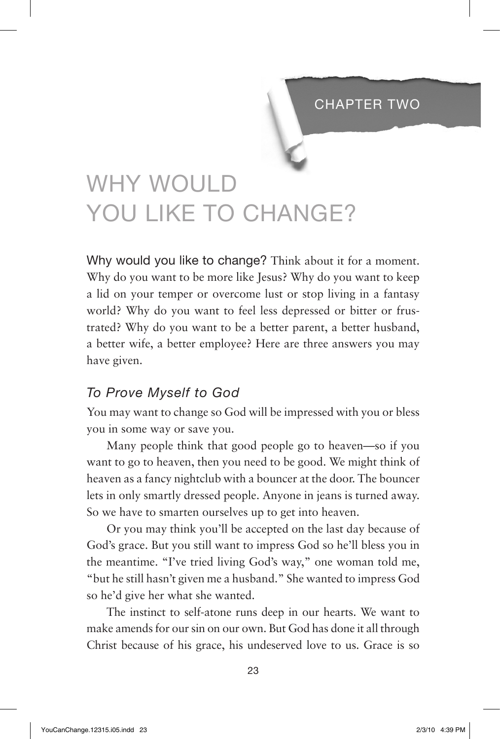# CHAPTER TWO

# WHY WOULD YOU LIKE TO CHANGE?

Why would you like to change? Think about it for a moment. Why do you want to be more like Jesus? Why do you want to keep a lid on your temper or overcome lust or stop living in a fantasy world? Why do you want to feel less depressed or bitter or frustrated? Why do you want to be a better parent, a better husband, a better wife, a better employee? Here are three answers you may have given.

### *To Prove Myself to God*

You may want to change so God will be impressed with you or bless you in some way or save you.

Many people think that good people go to heaven—so if you want to go to heaven, then you need to be good. We might think of heaven as a fancy nightclub with a bouncer at the door. The bouncer lets in only smartly dressed people. Anyone in jeans is turned away. So we have to smarten ourselves up to get into heaven.

Or you may think you'll be accepted on the last day because of God's grace. But you still want to impress God so he'll bless you in the meantime. "I've tried living God's way," one woman told me, "but he still hasn't given me a husband." She wanted to impress God so he'd give her what she wanted.

The instinct to self-atone runs deep in our hearts. We want to make amends for our sin on our own. But God has done it all through Christ because of his grace, his undeserved love to us. Grace is so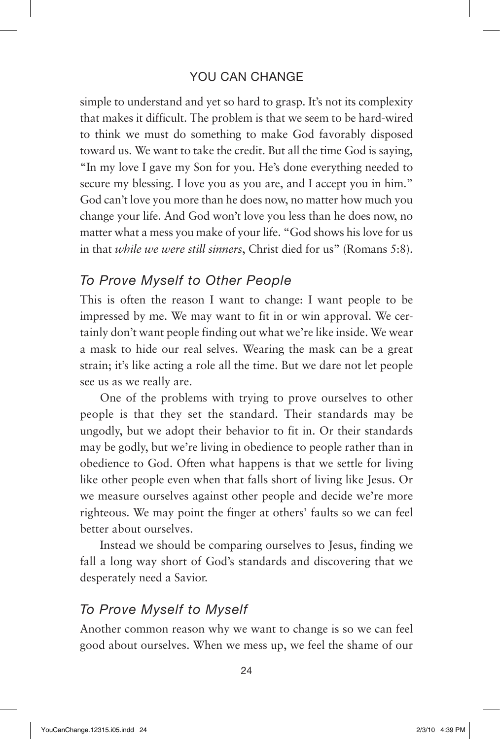simple to understand and yet so hard to grasp. It's not its complexity that makes it difficult. The problem is that we seem to be hard-wired to think we must do something to make God favorably disposed toward us. We want to take the credit. But all the time God is saying, "In my love I gave my Son for you. He's done everything needed to secure my blessing. I love you as you are, and I accept you in him." God can't love you more than he does now, no matter how much you change your life. And God won't love you less than he does now, no matter what a mess you make of your life. "God shows his love for us in that *while we were still sinners*, Christ died for us" (Romans 5:8).

# *To Prove Myself to Other People*

This is often the reason I want to change: I want people to be impressed by me. We may want to fit in or win approval. We certainly don't want people finding out what we're like inside. We wear a mask to hide our real selves. Wearing the mask can be a great strain; it's like acting a role all the time. But we dare not let people see us as we really are.

One of the problems with trying to prove ourselves to other people is that they set the standard. Their standards may be ungodly, but we adopt their behavior to fit in. Or their standards may be godly, but we're living in obedience to people rather than in obedience to God. Often what happens is that we settle for living like other people even when that falls short of living like Jesus. Or we measure ourselves against other people and decide we're more righteous. We may point the finger at others' faults so we can feel better about ourselves.

Instead we should be comparing ourselves to Jesus, finding we fall a long way short of God's standards and discovering that we desperately need a Savior.

# *To Prove Myself to Myself*

Another common reason why we want to change is so we can feel good about ourselves. When we mess up, we feel the shame of our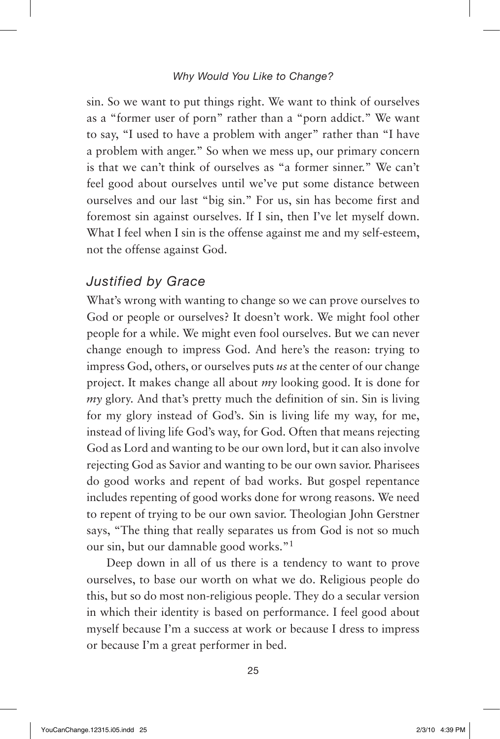sin. So we want to put things right. We want to think of ourselves as a "former user of porn" rather than a "porn addict." We want to say, "I used to have a problem with anger" rather than "I have a problem with anger." So when we mess up, our primary concern is that we can't think of ourselves as "a former sinner." We can't feel good about ourselves until we've put some distance between ourselves and our last "big sin." For us, sin has become first and foremost sin against ourselves. If I sin, then I've let myself down. What I feel when I sin is the offense against me and my self-esteem, not the offense against God.

# *Justified by Grace*

What's wrong with wanting to change so we can prove ourselves to God or people or ourselves? It doesn't work. We might fool other people for a while. We might even fool ourselves. But we can never change enough to impress God. And here's the reason: trying to impress God, others, or ourselves puts *us* at the center of our change project. It makes change all about *my* looking good. It is done for *my* glory. And that's pretty much the definition of sin. Sin is living for my glory instead of God's. Sin is living life my way, for me, instead of living life God's way, for God. Often that means rejecting God as Lord and wanting to be our own lord, but it can also involve rejecting God as Savior and wanting to be our own savior. Pharisees do good works and repent of bad works. But gospel repentance includes repenting of good works done for wrong reasons. We need to repent of trying to be our own savior. Theologian John Gerstner says, "The thing that really separates us from God is not so much our sin, but our damnable good works."1

Deep down in all of us there is a tendency to want to prove ourselves, to base our worth on what we do. Religious people do this, but so do most non-religious people. They do a secular version in which their identity is based on performance. I feel good about myself because I'm a success at work or because I dress to impress or because I'm a great performer in bed.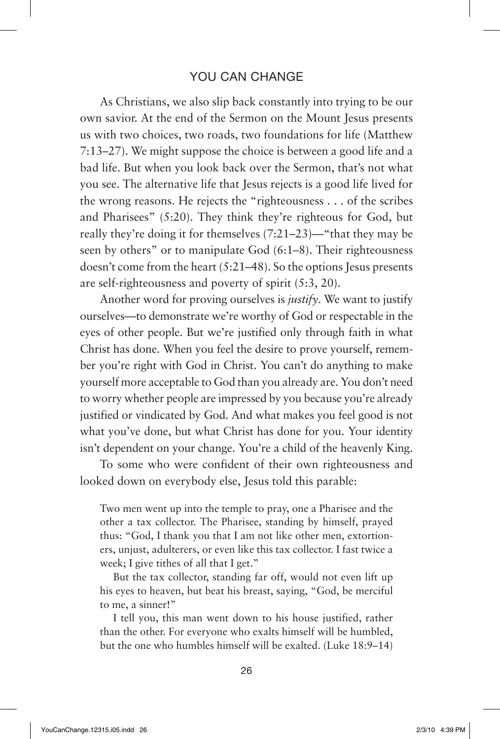As Christians, we also slip back constantly into trying to be our own savior. At the end of the Sermon on the Mount Jesus presents us with two choices, two roads, two foundations for life (Matthew 7:13–27). We might suppose the choice is between a good life and a bad life. But when you look back over the Sermon, that's not what you see. The alternative life that Jesus rejects is a good life lived for the wrong reasons. He rejects the "righteousness . . . of the scribes and Pharisees" (5:20). They think they're righteous for God, but really they're doing it for themselves (7:21–23)—"that they may be seen by others" or to manipulate God (6:1–8). Their righteousness doesn't come from the heart (5:21–48). So the options Jesus presents are self-righteousness and poverty of spirit (5:3, 20).

Another word for proving ourselves is *justify*. We want to justify ourselves—to demonstrate we're worthy of God or respectable in the eyes of other people. But we're justified only through faith in what Christ has done. When you feel the desire to prove yourself, remember you're right with God in Christ. You can't do anything to make yourself more acceptable to God than you already are. You don't need to worry whether people are impressed by you because you're already justified or vindicated by God. And what makes you feel good is not what you've done, but what Christ has done for you. Your identity isn't dependent on your change. You're a child of the heavenly King.

To some who were confident of their own righteousness and looked down on everybody else, Jesus told this parable:

Two men went up into the temple to pray, one a Pharisee and the other a tax collector. The Pharisee, standing by himself, prayed thus: "God, I thank you that I am not like other men, extortioners, unjust, adulterers, or even like this tax collector. I fast twice a week; I give tithes of all that I get."

But the tax collector, standing far off, would not even lift up his eyes to heaven, but beat his breast, saying, "God, be merciful to me, a sinner!"

I tell you, this man went down to his house justified, rather than the other. For everyone who exalts himself will be humbled, but the one who humbles himself will be exalted. (Luke 18:9–14)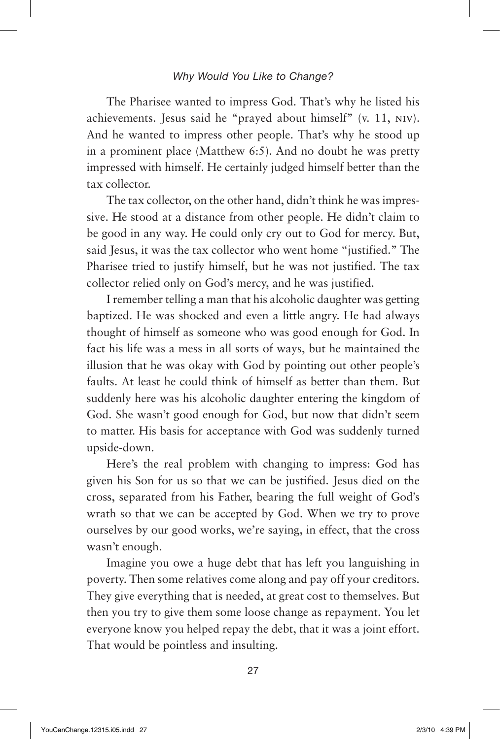The Pharisee wanted to impress God. That's why he listed his achievements. Jesus said he "prayed about himself" (v. 11, niv). And he wanted to impress other people. That's why he stood up in a prominent place (Matthew 6:5). And no doubt he was pretty impressed with himself. He certainly judged himself better than the tax collector.

The tax collector, on the other hand, didn't think he was impressive. He stood at a distance from other people. He didn't claim to be good in any way. He could only cry out to God for mercy. But, said Jesus, it was the tax collector who went home "justified." The Pharisee tried to justify himself, but he was not justified. The tax collector relied only on God's mercy, and he was justified.

I remember telling a man that his alcoholic daughter was getting baptized. He was shocked and even a little angry. He had always thought of himself as someone who was good enough for God. In fact his life was a mess in all sorts of ways, but he maintained the illusion that he was okay with God by pointing out other people's faults. At least he could think of himself as better than them. But suddenly here was his alcoholic daughter entering the kingdom of God. She wasn't good enough for God, but now that didn't seem to matter. His basis for acceptance with God was suddenly turned upside-down.

Here's the real problem with changing to impress: God has given his Son for us so that we can be justified. Jesus died on the cross, separated from his Father, bearing the full weight of God's wrath so that we can be accepted by God. When we try to prove ourselves by our good works, we're saying, in effect, that the cross wasn't enough.

Imagine you owe a huge debt that has left you languishing in poverty. Then some relatives come along and pay off your creditors. They give everything that is needed, at great cost to themselves. But then you try to give them some loose change as repayment. You let everyone know you helped repay the debt, that it was a joint effort. That would be pointless and insulting.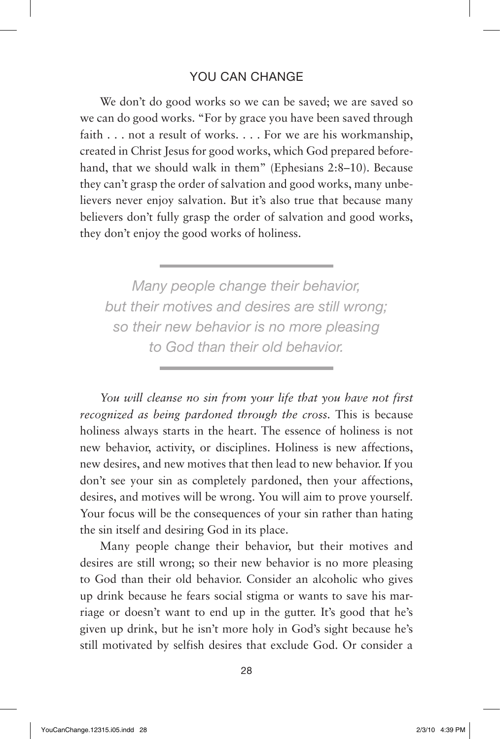We don't do good works so we can be saved; we are saved so we can do good works. "For by grace you have been saved through faith . . . not a result of works. . . . For we are his workmanship, created in Christ Jesus for good works, which God prepared beforehand, that we should walk in them" (Ephesians 2:8-10). Because they can't grasp the order of salvation and good works, many unbelievers never enjoy salvation. But it's also true that because many believers don't fully grasp the order of salvation and good works, they don't enjoy the good works of holiness.

*Many people change their behavior, but their motives and desires are still wrong; so their new behavior is no more pleasing to God than their old behavior.*

*You will cleanse no sin from your life that you have not first recognized as being pardoned through the cross.* This is because holiness always starts in the heart. The essence of holiness is not new behavior, activity, or disciplines. Holiness is new affections, new desires, and new motives that then lead to new behavior. If you don't see your sin as completely pardoned, then your affections, desires, and motives will be wrong. You will aim to prove yourself. Your focus will be the consequences of your sin rather than hating the sin itself and desiring God in its place.

Many people change their behavior, but their motives and desires are still wrong; so their new behavior is no more pleasing to God than their old behavior. Consider an alcoholic who gives up drink because he fears social stigma or wants to save his marriage or doesn't want to end up in the gutter. It's good that he's given up drink, but he isn't more holy in God's sight because he's still motivated by selfish desires that exclude God. Or consider a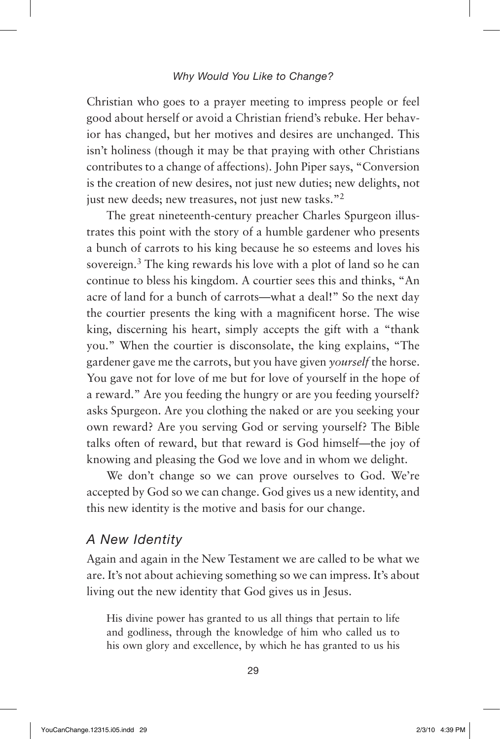Christian who goes to a prayer meeting to impress people or feel good about herself or avoid a Christian friend's rebuke. Her behavior has changed, but her motives and desires are unchanged. This isn't holiness (though it may be that praying with other Christians contributes to a change of affections). John Piper says, "Conversion is the creation of new desires, not just new duties; new delights, not just new deeds; new treasures, not just new tasks."<sup>2</sup>

The great nineteenth-century preacher Charles Spurgeon illustrates this point with the story of a humble gardener who presents a bunch of carrots to his king because he so esteems and loves his sovereign.<sup>3</sup> The king rewards his love with a plot of land so he can continue to bless his kingdom. A courtier sees this and thinks, "An acre of land for a bunch of carrots—what a deal!" So the next day the courtier presents the king with a magnificent horse. The wise king, discerning his heart, simply accepts the gift with a "thank you." When the courtier is disconsolate, the king explains, "The gardener gave me the carrots, but you have given *yourself* the horse. You gave not for love of me but for love of yourself in the hope of a reward." Are you feeding the hungry or are you feeding yourself? asks Spurgeon. Are you clothing the naked or are you seeking your own reward? Are you serving God or serving yourself? The Bible talks often of reward, but that reward is God himself—the joy of knowing and pleasing the God we love and in whom we delight.

We don't change so we can prove ourselves to God. We're accepted by God so we can change. God gives us a new identity, and this new identity is the motive and basis for our change.

# *A New Identity*

Again and again in the New Testament we are called to be what we are. It's not about achieving something so we can impress. It's about living out the new identity that God gives us in Jesus.

His divine power has granted to us all things that pertain to life and godliness, through the knowledge of him who called us to his own glory and excellence, by which he has granted to us his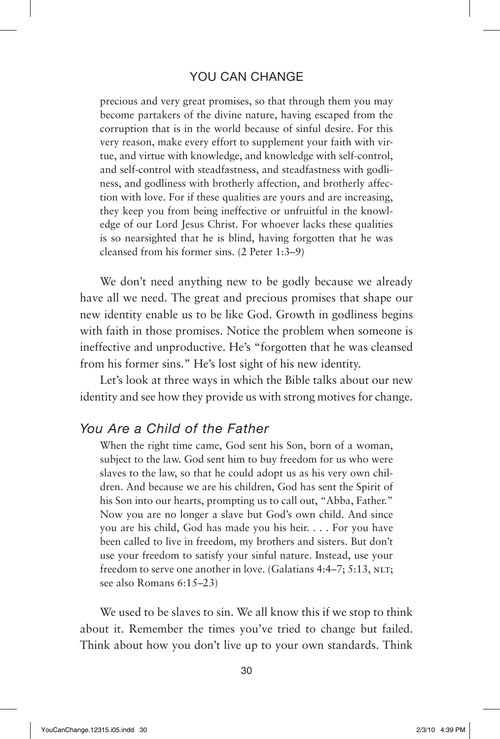precious and very great promises, so that through them you may become partakers of the divine nature, having escaped from the corruption that is in the world because of sinful desire. For this very reason, make every effort to supplement your faith with virtue, and virtue with knowledge, and knowledge with self-control, and self-control with steadfastness, and steadfastness with godliness, and godliness with brotherly affection, and brotherly affection with love. For if these qualities are yours and are increasing, they keep you from being ineffective or unfruitful in the knowledge of our Lord Jesus Christ. For whoever lacks these qualities is so nearsighted that he is blind, having forgotten that he was cleansed from his former sins. (2 Peter 1:3–9)

We don't need anything new to be godly because we already have all we need. The great and precious promises that shape our new identity enable us to be like God. Growth in godliness begins with faith in those promises. Notice the problem when someone is ineffective and unproductive. He's "forgotten that he was cleansed from his former sins." He's lost sight of his new identity.

Let's look at three ways in which the Bible talks about our new identity and see how they provide us with strong motives for change.

### *You Are a Child of the Father*

When the right time came, God sent his Son, born of a woman, subject to the law. God sent him to buy freedom for us who were slaves to the law, so that he could adopt us as his very own children. And because we are his children, God has sent the Spirit of his Son into our hearts, prompting us to call out, "Abba, Father." Now you are no longer a slave but God's own child. And since you are his child, God has made you his heir. . . . For you have been called to live in freedom, my brothers and sisters. But don't use your freedom to satisfy your sinful nature. Instead, use your freedom to serve one another in love. (Galatians 4:4–7; 5:13, NLT; see also Romans 6:15–23)

We used to be slaves to sin. We all know this if we stop to think about it. Remember the times you've tried to change but failed. Think about how you don't live up to your own standards. Think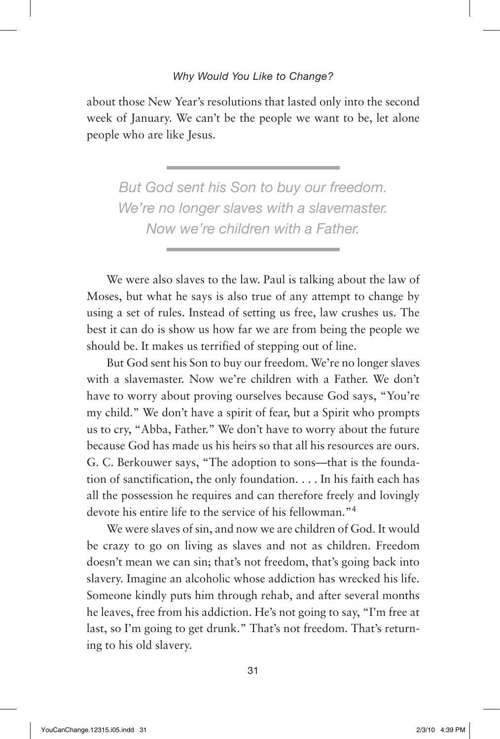about those New Year's resolutions that lasted only into the second week of January. We can't be the people we want to be, let alone people who are like Jesus.

*But God sent his Son to buy our freedom. We're no longer slaves with a slavemaster. Now we're children with a Father.*

We were also slaves to the law. Paul is talking about the law of Moses, but what he says is also true of any attempt to change by using a set of rules. Instead of setting us free, law crushes us. The best it can do is show us how far we are from being the people we should be. It makes us terrified of stepping out of line.

But God sent his Son to buy our freedom. We're no longer slaves with a slavemaster. Now we're children with a Father. We don't have to worry about proving ourselves because God says, "You're my child." We don't have a spirit of fear, but a Spirit who prompts us to cry, "Abba, Father." We don't have to worry about the future because God has made us his heirs so that all his resources are ours. G. C. Berkouwer says, "The adoption to sons—that is the foundation of sanctification, the only foundation. . . . In his faith each has all the possession he requires and can therefore freely and lovingly devote his entire life to the service of his fellowman."4

We were slaves of sin, and now we are children of God. It would be crazy to go on living as slaves and not as children. Freedom doesn't mean we can sin; that's not freedom, that's going back into slavery. Imagine an alcoholic whose addiction has wrecked his life. Someone kindly puts him through rehab, and after several months he leaves, free from his addiction. He's not going to say, "I'm free at last, so I'm going to get drunk." That's not freedom. That's returning to his old slavery.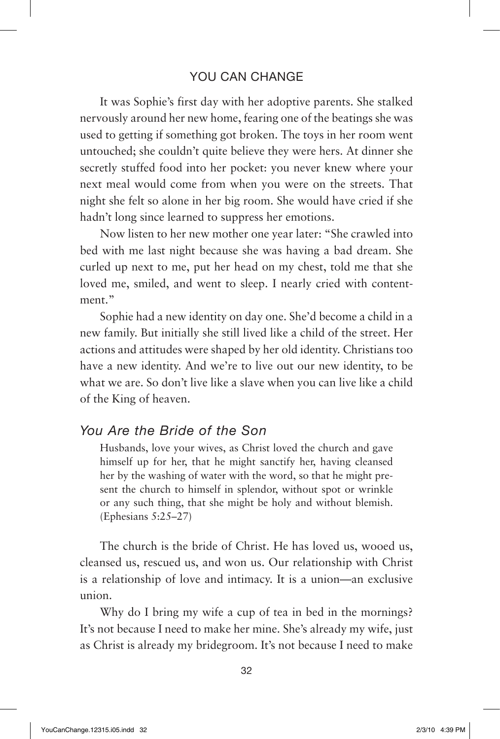It was Sophie's first day with her adoptive parents. She stalked nervously around her new home, fearing one of the beatings she was used to getting if something got broken. The toys in her room went untouched; she couldn't quite believe they were hers. At dinner she secretly stuffed food into her pocket: you never knew where your next meal would come from when you were on the streets. That night she felt so alone in her big room. She would have cried if she hadn't long since learned to suppress her emotions.

Now listen to her new mother one year later: "She crawled into bed with me last night because she was having a bad dream. She curled up next to me, put her head on my chest, told me that she loved me, smiled, and went to sleep. I nearly cried with contentment<sup>"</sup>

Sophie had a new identity on day one. She'd become a child in a new family. But initially she still lived like a child of the street. Her actions and attitudes were shaped by her old identity. Christians too have a new identity. And we're to live out our new identity, to be what we are. So don't live like a slave when you can live like a child of the King of heaven.

### *You Are the Bride of the Son*

Husbands, love your wives, as Christ loved the church and gave himself up for her, that he might sanctify her, having cleansed her by the washing of water with the word, so that he might present the church to himself in splendor, without spot or wrinkle or any such thing, that she might be holy and without blemish. (Ephesians 5:25–27)

The church is the bride of Christ. He has loved us, wooed us, cleansed us, rescued us, and won us. Our relationship with Christ is a relationship of love and intimacy. It is a union—an exclusive union.

Why do I bring my wife a cup of tea in bed in the mornings? It's not because I need to make her mine. She's already my wife, just as Christ is already my bridegroom. It's not because I need to make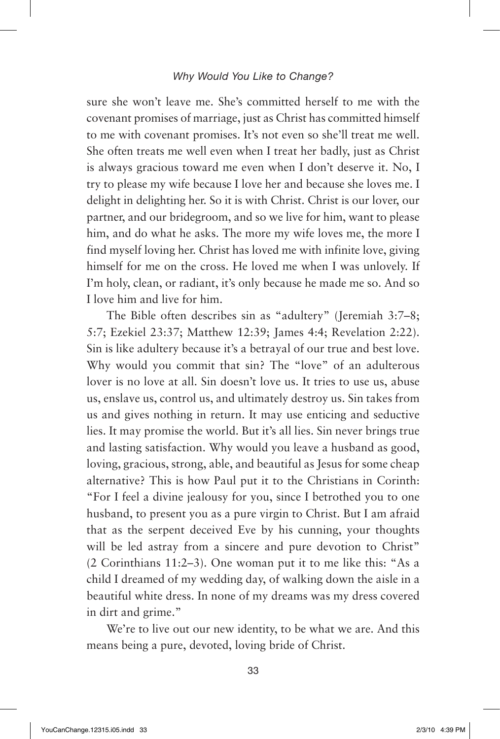sure she won't leave me. She's committed herself to me with the covenant promises of marriage, just as Christ has committed himself to me with covenant promises. It's not even so she'll treat me well. She often treats me well even when I treat her badly, just as Christ is always gracious toward me even when I don't deserve it. No, I try to please my wife because I love her and because she loves me. I delight in delighting her. So it is with Christ. Christ is our lover, our partner, and our bridegroom, and so we live for him, want to please him, and do what he asks. The more my wife loves me, the more I find myself loving her. Christ has loved me with infinite love, giving himself for me on the cross. He loved me when I was unlovely. If I'm holy, clean, or radiant, it's only because he made me so. And so I love him and live for him.

The Bible often describes sin as "adultery" (Jeremiah 3:7–8; 5:7; Ezekiel 23:37; Matthew 12:39; James 4:4; Revelation 2:22). Sin is like adultery because it's a betrayal of our true and best love. Why would you commit that sin? The "love" of an adulterous lover is no love at all. Sin doesn't love us. It tries to use us, abuse us, enslave us, control us, and ultimately destroy us. Sin takes from us and gives nothing in return. It may use enticing and seductive lies. It may promise the world. But it's all lies. Sin never brings true and lasting satisfaction. Why would you leave a husband as good, loving, gracious, strong, able, and beautiful as Jesus for some cheap alternative? This is how Paul put it to the Christians in Corinth: "For I feel a divine jealousy for you, since I betrothed you to one husband, to present you as a pure virgin to Christ. But I am afraid that as the serpent deceived Eve by his cunning, your thoughts will be led astray from a sincere and pure devotion to Christ" (2 Corinthians 11:2–3). One woman put it to me like this: "As a child I dreamed of my wedding day, of walking down the aisle in a beautiful white dress. In none of my dreams was my dress covered in dirt and grime."

We're to live out our new identity, to be what we are. And this means being a pure, devoted, loving bride of Christ.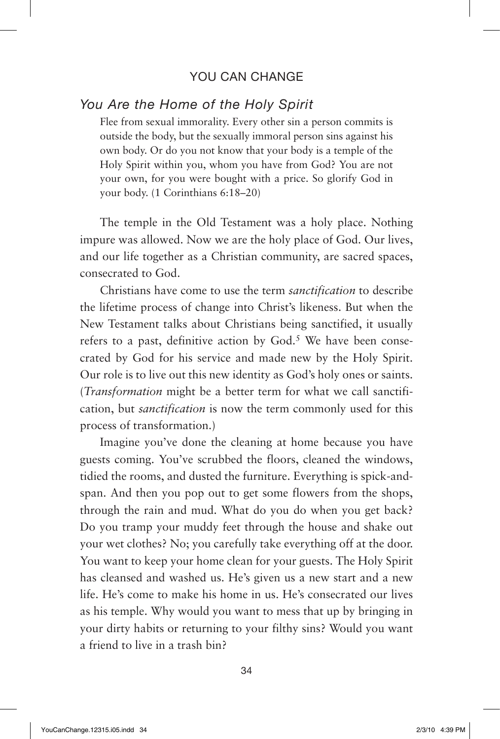# *You Are the Home of the Holy Spirit*

Flee from sexual immorality. Every other sin a person commits is outside the body, but the sexually immoral person sins against his own body. Or do you not know that your body is a temple of the Holy Spirit within you, whom you have from God? You are not your own, for you were bought with a price. So glorify God in your body. (1 Corinthians 6:18–20)

The temple in the Old Testament was a holy place. Nothing impure was allowed. Now we are the holy place of God. Our lives, and our life together as a Christian community, are sacred spaces, consecrated to God.

Christians have come to use the term *sanctification* to describe the lifetime process of change into Christ's likeness. But when the New Testament talks about Christians being sanctified, it usually refers to a past, definitive action by  $God.^5$ . We have been consecrated by God for his service and made new by the Holy Spirit. Our role is to live out this new identity as God's holy ones or saints. (*Transformation* might be a better term for what we call sanctification, but *sanctification* is now the term commonly used for this process of transformation.)

Imagine you've done the cleaning at home because you have guests coming. You've scrubbed the floors, cleaned the windows, tidied the rooms, and dusted the furniture. Everything is spick-andspan. And then you pop out to get some flowers from the shops, through the rain and mud. What do you do when you get back? Do you tramp your muddy feet through the house and shake out your wet clothes? No; you carefully take everything off at the door. You want to keep your home clean for your guests. The Holy Spirit has cleansed and washed us. He's given us a new start and a new life. He's come to make his home in us. He's consecrated our lives as his temple. Why would you want to mess that up by bringing in your dirty habits or returning to your filthy sins? Would you want a friend to live in a trash bin?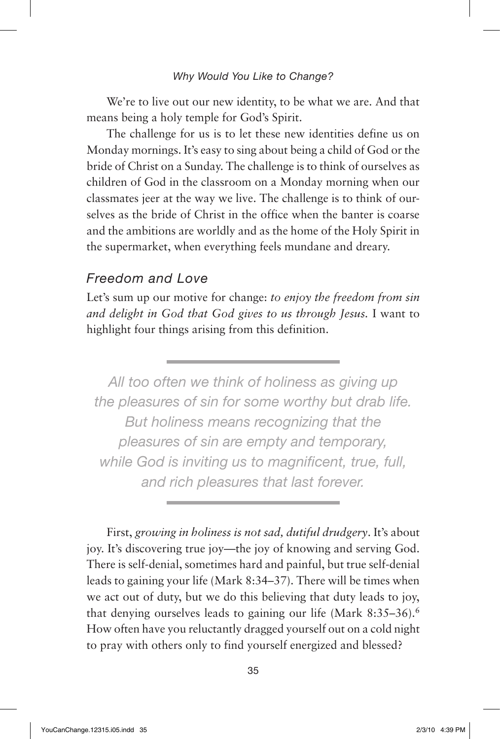We're to live out our new identity, to be what we are. And that means being a holy temple for God's Spirit.

The challenge for us is to let these new identities define us on Monday mornings. It's easy to sing about being a child of God or the bride of Christ on a Sunday. The challenge is to think of ourselves as children of God in the classroom on a Monday morning when our classmates jeer at the way we live. The challenge is to think of ourselves as the bride of Christ in the office when the banter is coarse and the ambitions are worldly and as the home of the Holy Spirit in the supermarket, when everything feels mundane and dreary.

### *Freedom and Love*

Let's sum up our motive for change: *to enjoy the freedom from sin and delight in God that God gives to us through Jesus.* I want to highlight four things arising from this definition.

*All too often we think of holiness as giving up the pleasures of sin for some worthy but drab life. But holiness means recognizing that the pleasures of sin are empty and temporary, while God is inviting us to magnificent, true, full, and rich pleasures that last forever.*

First, *growing in holiness is not sad, dutiful drudgery*. It's about joy. It's discovering true joy—the joy of knowing and serving God. There is self-denial, sometimes hard and painful, but true self-denial leads to gaining your life (Mark 8:34–37). There will be times when we act out of duty, but we do this believing that duty leads to joy, that denying ourselves leads to gaining our life (Mark 8:35–36).6 How often have you reluctantly dragged yourself out on a cold night to pray with others only to find yourself energized and blessed?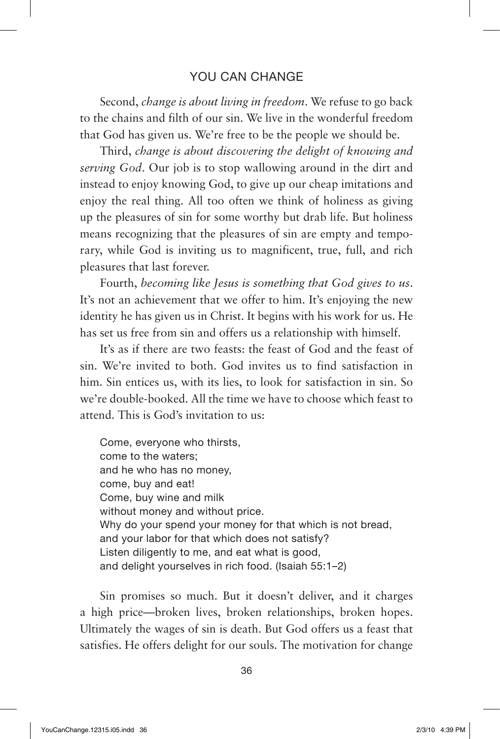Second, *change is about living in freedom*. We refuse to go back to the chains and filth of our sin. We live in the wonderful freedom that God has given us. We're free to be the people we should be.

Third, *change is about discovering the delight of knowing and serving God*. Our job is to stop wallowing around in the dirt and instead to enjoy knowing God, to give up our cheap imitations and enjoy the real thing. All too often we think of holiness as giving up the pleasures of sin for some worthy but drab life. But holiness means recognizing that the pleasures of sin are empty and temporary, while God is inviting us to magnificent, true, full, and rich pleasures that last forever.

Fourth, *becoming like Jesus is something that God gives to us*. It's not an achievement that we offer to him. It's enjoying the new identity he has given us in Christ. It begins with his work for us. He has set us free from sin and offers us a relationship with himself.

It's as if there are two feasts: the feast of God and the feast of sin. We're invited to both. God invites us to find satisfaction in him. Sin entices us, with its lies, to look for satisfaction in sin. So we're double-booked. All the time we have to choose which feast to attend. This is God's invitation to us:

Come, everyone who thirsts, come to the waters; and he who has no money, come, buy and eat! Come, buy wine and milk without money and without price. Why do your spend your money for that which is not bread, and your labor for that which does not satisfy? Listen diligently to me, and eat what is good, and delight yourselves in rich food. (Isaiah 55:1–2)

Sin promises so much. But it doesn't deliver, and it charges a high price—broken lives, broken relationships, broken hopes. Ultimately the wages of sin is death. But God offers us a feast that satisfies. He offers delight for our souls. The motivation for change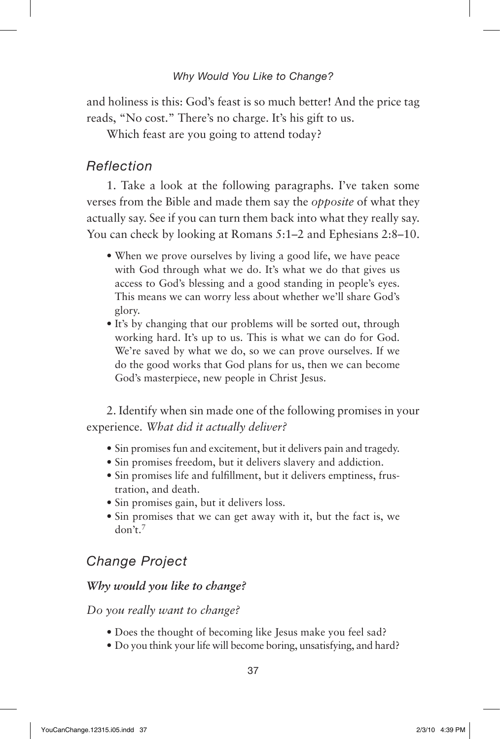and holiness is this: God's feast is so much better! And the price tag reads, "No cost." There's no charge. It's his gift to us.

Which feast are you going to attend today?

# *Reflection*

1. Take a look at the following paragraphs. I've taken some verses from the Bible and made them say the *opposite* of what they actually say. See if you can turn them back into what they really say. You can check by looking at Romans 5:1–2 and Ephesians 2:8–10.

- When we prove ourselves by living a good life, we have peace with God through what we do. It's what we do that gives us access to God's blessing and a good standing in people's eyes. This means we can worry less about whether we'll share God's glory.
- It's by changing that our problems will be sorted out, through working hard. It's up to us. This is what we can do for God. We're saved by what we do, so we can prove ourselves. If we do the good works that God plans for us, then we can become God's masterpiece, new people in Christ Jesus.

2. Identify when sin made one of the following promises in your experience. *What did it actually deliver?*

- Sin promises fun and excitement, but it delivers pain and tragedy.
- Sin promises freedom, but it delivers slavery and addiction.
- Sin promises life and fulfillment, but it delivers emptiness, frustration, and death.
- Sin promises gain, but it delivers loss.
- Sin promises that we can get away with it, but the fact is, we don't.7

# *Change Project*

### *Why would you like to change?*

### *Do you really want to change?*

- Does the thought of becoming like Jesus make you feel sad?
- Do you think your life will become boring, unsatisfying, and hard?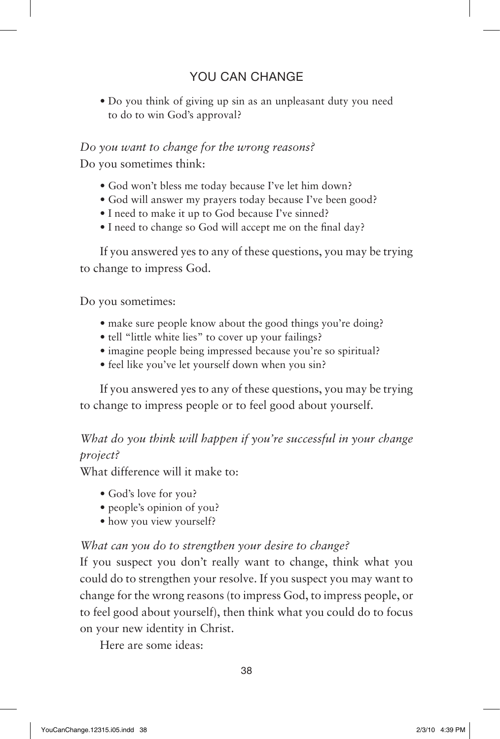• Do you think of giving up sin as an unpleasant duty you need to do to win God's approval?

*Do you want to change for the wrong reasons?* Do you sometimes think:

- God won't bless me today because I've let him down?
- God will answer my prayers today because I've been good?
- I need to make it up to God because I've sinned?
- I need to change so God will accept me on the final day?

If you answered yes to any of these questions, you may be trying to change to impress God.

Do you sometimes:

- make sure people know about the good things you're doing?
- tell "little white lies" to cover up your failings?
- imagine people being impressed because you're so spiritual?
- feel like you've let yourself down when you sin?

If you answered yes to any of these questions, you may be trying to change to impress people or to feel good about yourself.

# *What do you think will happen if you're successful in your change project?*

What difference will it make to:

- God's love for you?
- people's opinion of you?
- how you view yourself?

### *What can you do to strengthen your desire to change?*

If you suspect you don't really want to change, think what you could do to strengthen your resolve. If you suspect you may want to change for the wrong reasons (to impress God, to impress people, or to feel good about yourself), then think what you could do to focus on your new identity in Christ.

Here are some ideas: